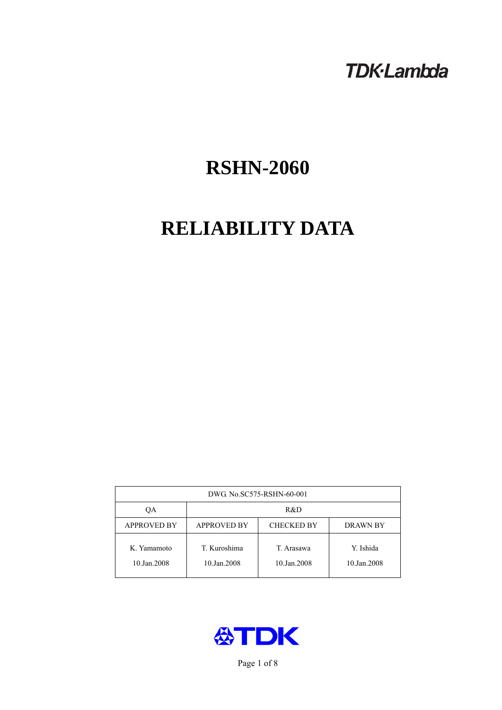# **TDK-Lambda**

# **RSHN-2060**

# **RELIABILITY DATA**

| DWG. No.SC575-RSHN-60-001  |                             |                           |                          |  |
|----------------------------|-----------------------------|---------------------------|--------------------------|--|
| ОA                         | R&D                         |                           |                          |  |
| <b>APPROVED BY</b>         | <b>APPROVED BY</b>          | <b>CHECKED BY</b>         | <b>DRAWN BY</b>          |  |
| K. Yamamoto<br>10.Jan.2008 | T. Kuroshima<br>10.Jan.2008 | T. Arasawa<br>10.Jan.2008 | Y. Ishida<br>10.Jan.2008 |  |



Page 1 of 8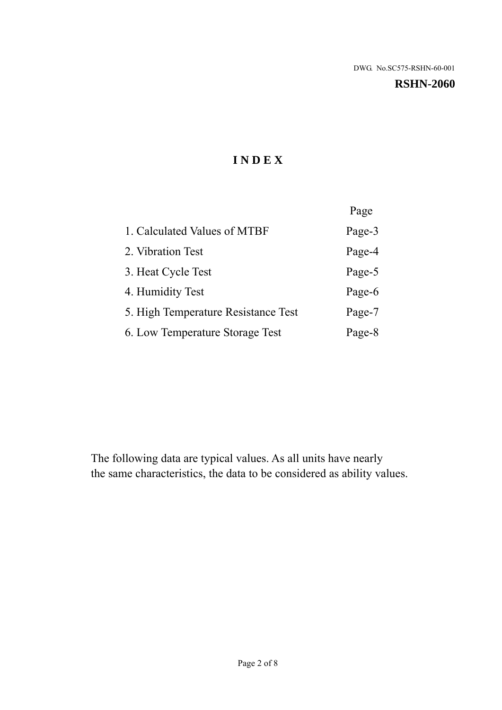#### **RSHN-2060**

# **I N D E X**

|                                     | Page   |
|-------------------------------------|--------|
| 1. Calculated Values of MTBF        | Page-3 |
| 2. Vibration Test                   | Page-4 |
| 3. Heat Cycle Test                  | Page-5 |
| 4. Humidity Test                    | Page-6 |
| 5. High Temperature Resistance Test | Page-7 |
| 6. Low Temperature Storage Test     | Page-8 |

The following data are typical values. As all units have nearly the same characteristics, the data to be considered as ability values.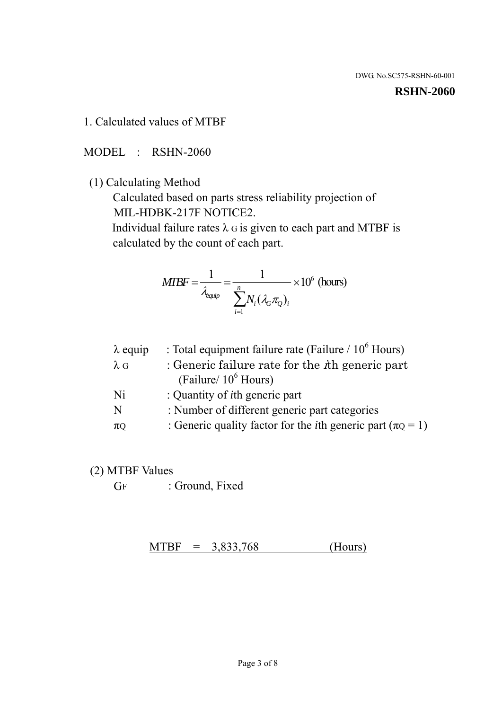#### **RSHN-2060**

1. Calculated values of MTBF

MODEL : RSHN-2060

(1) Calculating Method

 Calculated based on parts stress reliability projection of MIL-HDBK-217F NOTICE2.

Individual failure rates  $\lambda$  G is given to each part and MTBF is calculated by the count of each part.

$$
MIBF = \frac{1}{\lambda_{\text{equip}}} = \frac{1}{\sum_{i=1}^{n} N_i (\lambda_G \pi_Q)_i} \times 10^6 \text{ (hours)}
$$

| $\lambda$ equip | : Total equipment failure rate (Failure $/ 10^6$ Hours)                   |
|-----------------|---------------------------------------------------------------------------|
| $\lambda$ G     | : Generic failure rate for the $\hbar$ generic part                       |
|                 | (Failure/ $10^6$ Hours)                                                   |
| Ni              | : Quantity of <i>i</i> th generic part                                    |
| N               | : Number of different generic part categories                             |
| $\pi$ Q         | : Generic quality factor for the <i>i</i> th generic part ( $\pi Q = 1$ ) |

- (2) MTBF Values
	- GF : Ground, Fixed

 $MTBF = 3,833,768$  (Hours)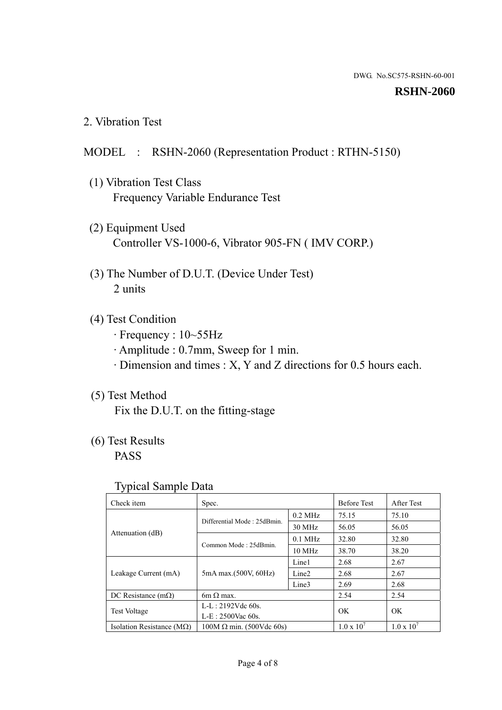#### **RSHN-2060**

2. Vibration Test

# MODEL : RSHN-2060 (Representation Product : RTHN-5150)

- (1) Vibration Test Class Frequency Variable Endurance Test
- (2) Equipment Used Controller VS-1000-6, Vibrator 905-FN ( IMV CORP.)
- (3) The Number of D.U.T. (Device Under Test) 2 units
- (4) Test Condition
	- · Frequency : 10~55Hz
	- · Amplitude : 0.7mm, Sweep for 1 min.
	- · Dimension and times : X, Y and Z directions for 0.5 hours each.

# (5) Test Method

Fix the D.U.T. on the fitting-stage

# (6) Test Results

PASS

#### Typical Sample Data

| Check item                         | Spec.                           |                   | <b>Before Test</b>  | After Test          |
|------------------------------------|---------------------------------|-------------------|---------------------|---------------------|
|                                    | Differential Mode: 25dBmin.     | $0.2$ MHz         | 75.15               | 75.10               |
|                                    |                                 | 30 MHz            | 56.05               | 56.05               |
| Attenuation (dB)                   | Common Mode: 25dBmin.           | $0.1$ MHz         | 32.80               | 32.80               |
|                                    |                                 | 10 MHz            | 38.70               | 38.20               |
| Leakage Current (mA)               | 5mA max.(500V, 60Hz)            | Line1             | 2.68                | 2.67                |
|                                    |                                 | Line <sub>2</sub> | 2.68                | 2.67                |
|                                    |                                 | Line3             | 2.69                | 2.68                |
| DC Resistance $(m\Omega)$          | 6m $\Omega$ max.                |                   | 2.54                | 2.54                |
| <b>Test Voltage</b>                | $L-L: 2192Vdc$ 60s.             |                   | OK                  | OK                  |
|                                    | $L-E$ : 2500Vac 60s.            |                   |                     |                     |
| Isolation Resistance ( $M\Omega$ ) | $100M \Omega$ min. (500Vdc 60s) |                   | $1.0 \times 10^{7}$ | $1.0 \times 10^{7}$ |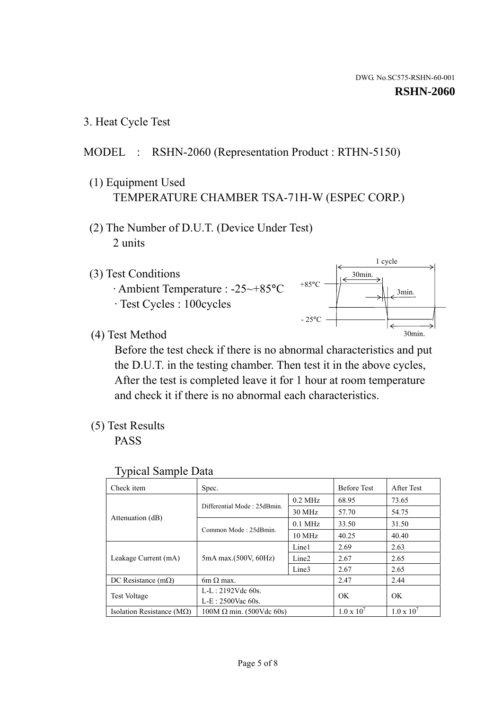1 cycle

30min.

3min.

30min.

#### **RSHN-2060**

3. Heat Cycle Test

# MODEL : RSHN-2060 (Representation Product : RTHN-5150)

- (1) Equipment Used TEMPERATURE CHAMBER TSA-71H-W (ESPEC CORP.)
- (2) The Number of D.U.T. (Device Under Test) 2 units
- (3) Test Conditions
	- · Ambient Temperature : -25~+85°C · Test Cycles : 100cycles
- (4) Test Method

 Before the test check if there is no abnormal characteristics and put the D.U.T. in the testing chamber. Then test it in the above cycles, After the test is completed leave it for 1 hour at room temperature and check it if there is no abnormal each characteristics.

+85°C

 $-25^{\circ}$ C

(5) Test Results

PASS

| Check item                         | Spec.                           |                   | <b>Before Test</b>  | After Test          |
|------------------------------------|---------------------------------|-------------------|---------------------|---------------------|
|                                    | Differential Mode: 25dBmin.     | $0.2$ MHz         | 68.95               | 73.65               |
|                                    |                                 | 30 MHz            | 57.70               | 54.75               |
| Attenuation (dB)                   | Common Mode: 25dBmin.           | $0.1$ MHz         | 33.50               | 31.50               |
|                                    |                                 | 10 MHz            | 40.25               | 40.40               |
| Leakage Current (mA)               | 5mA max.(500V, 60Hz)            | Line1             | 2.69                | 2.63                |
|                                    |                                 | Line <sub>2</sub> | 2.67                | 2.65                |
|                                    |                                 | Line3             | 2.67                | 2.65                |
| DC Resistance $(m\Omega)$          | $6m \Omega$ max.                |                   | 2.47                | 2.44                |
| <b>Test Voltage</b>                | $L-L: 2192Vdc$ 60s.             |                   | OK                  | OK                  |
|                                    | $L-E$ : 2500Vac 60s.            |                   |                     |                     |
| Isolation Resistance ( $M\Omega$ ) | $100M \Omega$ min. (500Vdc 60s) |                   | $1.0 \times 10^{7}$ | $1.0 \times 10^{7}$ |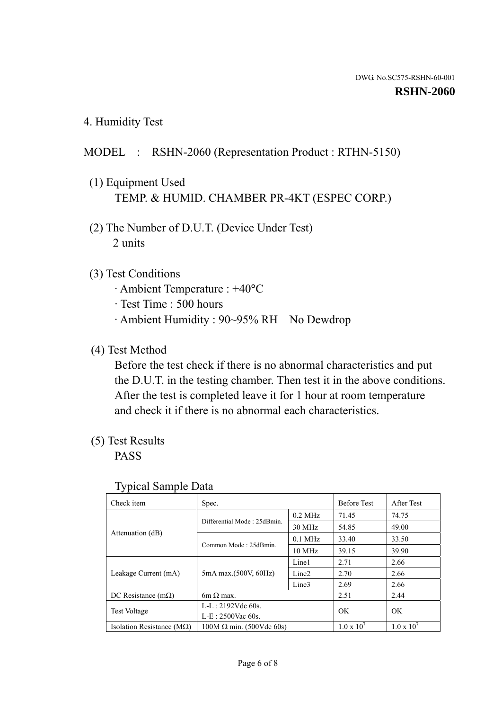4. Humidity Test

# MODEL : RSHN-2060 (Representation Product : RTHN-5150)

- (1) Equipment Used TEMP. & HUMID. CHAMBER PR-4KT (ESPEC CORP.)
- (2) The Number of D.U.T. (Device Under Test) 2 units

### (3) Test Conditions

- · Ambient Temperature : +40°C
- · Test Time : 500 hours
- · Ambient Humidity : 90~95% RH No Dewdrop

# (4) Test Method

 Before the test check if there is no abnormal characteristics and put the D.U.T. in the testing chamber. Then test it in the above conditions. After the test is completed leave it for 1 hour at room temperature and check it if there is no abnormal each characteristics.

# (5) Test Results

PASS

| Check item                         | Spec.                           |                   | <b>Before Test</b>  | After Test          |
|------------------------------------|---------------------------------|-------------------|---------------------|---------------------|
|                                    | Differential Mode: 25dBmin.     | $0.2$ MHz         | 71.45               | 74.75               |
|                                    |                                 | 30 MHz            | 54.85               | 49.00               |
| Attenuation (dB)                   | Common Mode: 25dBmin.           | $0.1$ MHz         | 33.40               | 33.50               |
|                                    |                                 | $10$ MHz          | 39.15               | 39.90               |
| Leakage Current (mA)               | 5mA max.(500V, 60Hz)            | Line1             | 2.71                | 2.66                |
|                                    |                                 | Line <sub>2</sub> | 2.70                | 2.66                |
|                                    |                                 | Line3             | 2.69                | 2.66                |
| DC Resistance $(m\Omega)$          | $6m \Omega$ max.                |                   | 2.51                | 2.44                |
| <b>Test Voltage</b>                | $L-L: 2192Vdc$ 60s.             |                   | OK                  | OK.                 |
|                                    | $L-E: 2500$ Vac 60s.            |                   |                     |                     |
| Isolation Resistance ( $M\Omega$ ) | $100M \Omega$ min. (500Vdc 60s) |                   | $1.0 \times 10^{7}$ | $1.0 \times 10^{7}$ |

#### Typical Sample Data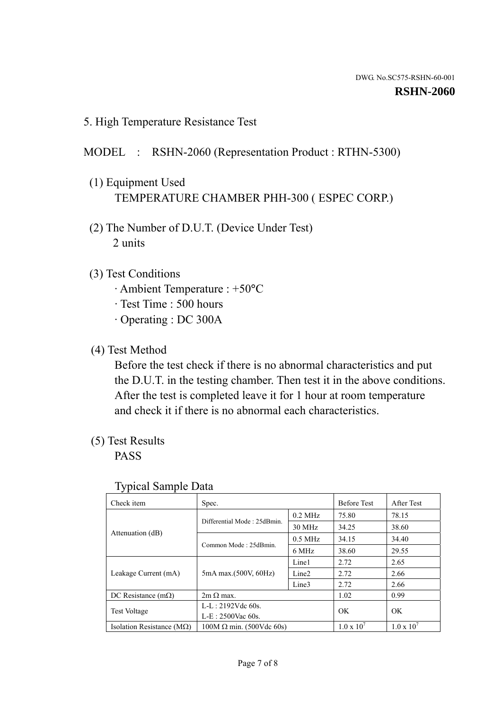5. High Temperature Resistance Test

### MODEL : RSHN-2060 (Representation Product : RTHN-5300)

- (1) Equipment Used TEMPERATURE CHAMBER PHH-300 ( ESPEC CORP.)
- (2) The Number of D.U.T. (Device Under Test) 2 units
- (3) Test Conditions
	- · Ambient Temperature : +50°C
	- · Test Time : 500 hours
	- · Operating : DC 300A
- (4) Test Method

 Before the test check if there is no abnormal characteristics and put the D.U.T. in the testing chamber. Then test it in the above conditions. After the test is completed leave it for 1 hour at room temperature and check it if there is no abnormal each characteristics.

(5) Test Results

PASS

| ັ່                                 |                                 |                   |                     |                     |
|------------------------------------|---------------------------------|-------------------|---------------------|---------------------|
| Check item                         | Spec.                           |                   | <b>Before Test</b>  | After Test          |
|                                    | Differential Mode: 25dBmin.     | $0.2$ MHz         | 75.80               | 78.15               |
|                                    |                                 | 30 MHz            | 34.25               | 38.60               |
| Attenuation (dB)                   | Common Mode: 25dBmin.           | $0.5$ MHz         | 34.15               | 34.40               |
|                                    |                                 | 6 MHz             | 38.60               | 29.55               |
| Leakage Current (mA)               | 5mA max.(500V, 60Hz)            | Line1             | 2.72                | 2.65                |
|                                    |                                 | Line <sub>2</sub> | 2.72                | 2.66                |
|                                    |                                 | Line3             | 2.72                | 2.66                |
| DC Resistance $(m\Omega)$          | $2m \Omega$ max.                |                   | 1.02                | 0.99                |
| <b>Test Voltage</b>                | $L-L: 2192Vdc$ 60s.             |                   | OK.                 | OK                  |
|                                    | $L-E$ : 2500Vac 60s.            |                   |                     |                     |
| Isolation Resistance ( $M\Omega$ ) | $100M \Omega$ min. (500Vdc 60s) |                   | $1.0 \times 10^{7}$ | $1.0 \times 10^{7}$ |

#### Typical Sample Data